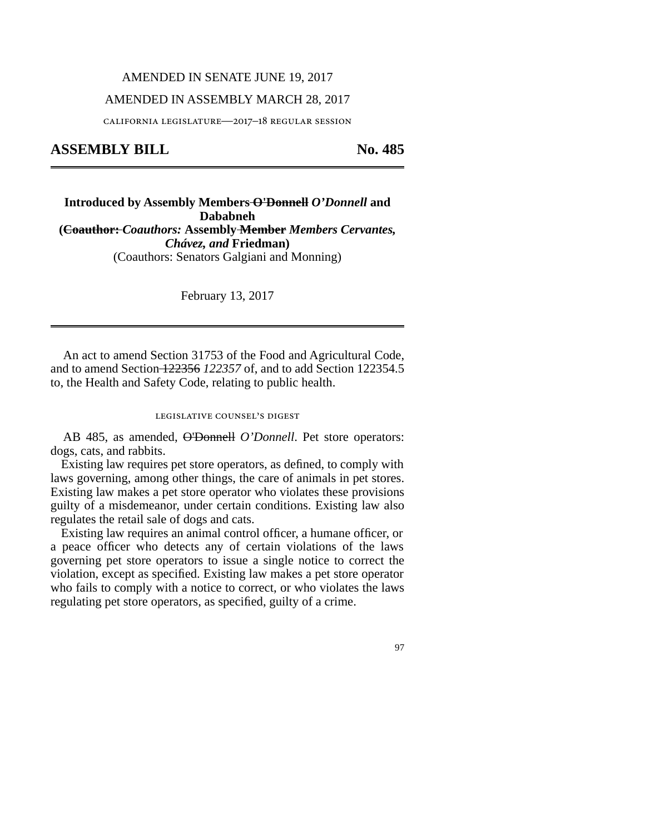# AMENDED IN SENATE JUNE 19, 2017

# AMENDED IN ASSEMBLY MARCH 28, 2017

california legislature—2017–18 regular session

# **ASSEMBLY BILL No. 485**

**Introduced by Assembly Members O'Donnell** *O'Donnell* **and Dababneh (Coauthor:** *Coauthors:* **Assembly Member** *Members Cervantes, Chávez, and* **Friedman)** (Coauthors: Senators Galgiani and Monning)

February 13, 2017

An act to amend Section 31753 of the Food and Agricultural Code, and to amend Section 122356 *122357* of, and to add Section 122354.5 to, the Health and Safety Code, relating to public health.

### legislative counsel's digest

AB 485, as amended, O'Donnell *O'Donnell*. Pet store operators: dogs, cats, and rabbits.

Existing law requires pet store operators, as defined, to comply with laws governing, among other things, the care of animals in pet stores. Existing law makes a pet store operator who violates these provisions guilty of a misdemeanor, under certain conditions. Existing law also regulates the retail sale of dogs and cats.

Existing law requires an animal control officer, a humane officer, or a peace officer who detects any of certain violations of the laws governing pet store operators to issue a single notice to correct the violation, except as specified. Existing law makes a pet store operator who fails to comply with a notice to correct, or who violates the laws regulating pet store operators, as specified, guilty of a crime.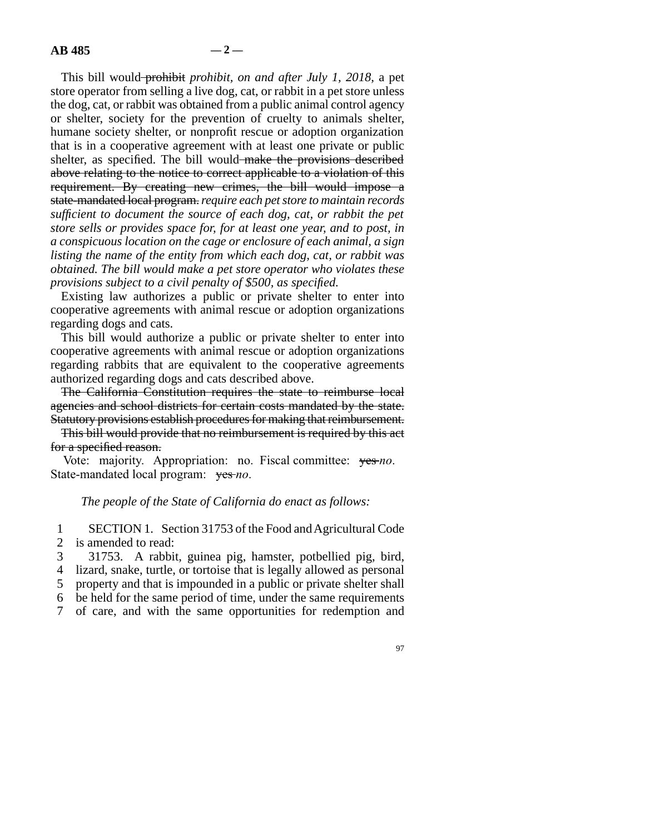This bill would prohibit *prohibit, on and after July 1, 2018,* a pet store operator from selling a live dog, cat, or rabbit in a pet store unless the dog, cat, or rabbit was obtained from a public animal control agency or shelter, society for the prevention of cruelty to animals shelter, humane society shelter, or nonprofit rescue or adoption organization that is in a cooperative agreement with at least one private or public shelter, as specified. The bill would make the provisions described above relating to the notice to correct applicable to a violation of this requirement. By creating new crimes, the bill would impose a state-mandated local program. *require each pet store to maintain records sufficient to document the source of each dog, cat, or rabbit the pet store sells or provides space for, for at least one year, and to post, in a conspicuous location on the cage or enclosure of each animal, a sign listing the name of the entity from which each dog, cat, or rabbit was obtained. The bill would make a pet store operator who violates these provisions subject to a civil penalty of \$500, as specified.*

Existing law authorizes a public or private shelter to enter into cooperative agreements with animal rescue or adoption organizations regarding dogs and cats.

This bill would authorize a public or private shelter to enter into cooperative agreements with animal rescue or adoption organizations regarding rabbits that are equivalent to the cooperative agreements authorized regarding dogs and cats described above.

The California Constitution requires the state to reimburse local agencies and school districts for certain costs mandated by the state. Statutory provisions establish procedures for making that reimbursement.

This bill would provide that no reimbursement is required by this act for a specified reason.

Vote: majority. Appropriation: no. Fiscal committee: yes *no*. State-mandated local program: yes-no.

### *The people of the State of California do enact as follows:*

1 SECTION 1. Section 31753 of the Food and Agricultural Code 2 is amended to read:

3 31753. A rabbit, guinea pig, hamster, potbellied pig, bird, 4 lizard, snake, turtle, or tortoise that is legally allowed as personal 5 property and that is impounded in a public or private shelter shall line 6 be held for the same period of time, under the same requirements 7 of care, and with the same opportunities for redemption and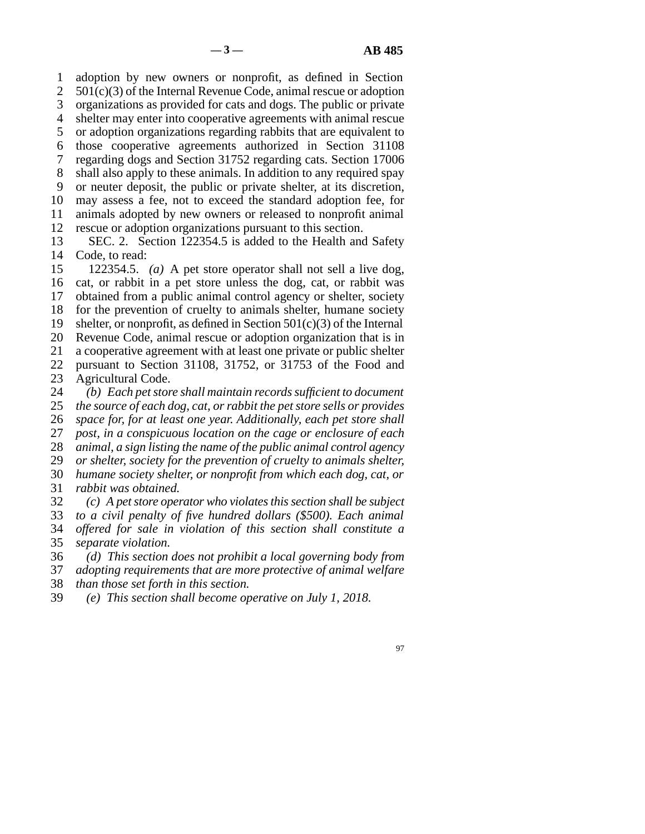line 1 adoption by new owners or nonprofit, as defined in Section 2  $501(c)(3)$  of the Internal Revenue Code, animal rescue or adoption 3 organizations as provided for cats and dogs. The public or private 4 shelter may enter into cooperative agreements with animal rescue 5 or adoption organizations regarding rabbits that are equivalent to 6 those cooperative agreements authorized in Section 31108 7 regarding dogs and Section 31752 regarding cats. Section 17006 8 shall also apply to these animals. In addition to any required spay 9 or neuter deposit, the public or private shelter, at its discretion, 10 may assess a fee, not to exceed the standard adoption fee, for 11 animals adopted by new owners or released to nonprofit animal 12 rescue or adoption organizations pursuant to this section.

13 SEC. 2. Section 122354.5 is added to the Health and Safety 14 Code, to read:

15 122354.5. *(a)* A pet store operator shall not sell a live dog, 16 cat, or rabbit in a pet store unless the dog, cat, or rabbit was 17 obtained from a public animal control agency or shelter, society 18 for the prevention of cruelty to animals shelter, humane society 19 shelter, or nonprofit, as defined in Section  $501(c)(3)$  of the Internal 20 Revenue Code, animal rescue or adoption organization that is in 21 a cooperative agreement with at least one private or public shelter

22 pursuant to Section 31108, 31752, or 31753 of the Food and 23 Agricultural Code. Agricultural Code.

24 (b) Each pet store shall maintain records sufficient to document<br>25 the source of each dog, cat, or rabbit the pet store sells or provides line 25 *the source of each dog, cat, or rabbit the pet store sells or provides space for, for at least one year. Additionally, each pet store shall post, in a conspicuous location on the cage or enclosure of each animal, a sign listing the name of the public animal control agency or shelter, society for the prevention of cruelty to animals shelter, humane society shelter, or nonprofit from which each dog, cat, or rabbit was obtained.* 

 line 32 *(c) A pet store operator who violates this section shall be subject to a civil penalty of five hundred dollars (\$500). Each animal offered for sale in violation of this section shall constitute a separate violation.* 

 line 36 *(d) This section does not prohibit a local governing body from* 37 *adopting requirements that are more protective of animal welfare* 38 *than those set forth in this section.* 

line 39 *(e) This section shall become operative on July 1, 2018.*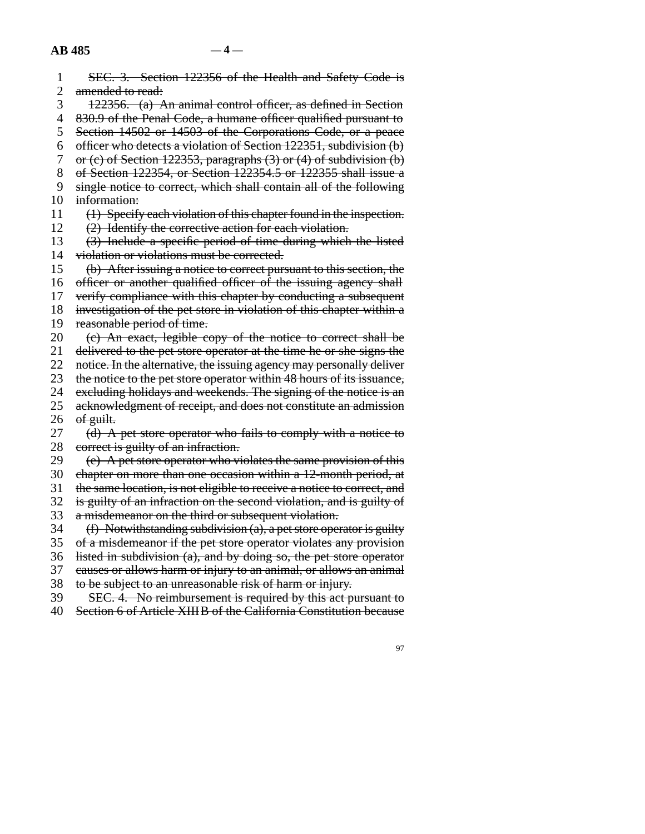| $\mathbf{1}$   | SEC. 3. Section 122356 of the Health and Safety Code is                  |
|----------------|--------------------------------------------------------------------------|
| $\overline{2}$ | amended to read:                                                         |
| 3              | 122356. (a) An animal control officer, as defined in Section             |
| 4              | 830.9 of the Penal Code, a humane officer qualified pursuant to          |
| 5              | Section 14502 or 14503 of the Corporations Code, or a peace              |
| 6              | officer who detects a violation of Section 122351, subdivision (b)       |
| 7              | or (c) of Section 122353, paragraphs $(3)$ or $(4)$ of subdivision $(b)$ |
| 8              | of Section 122354, or Section 122354.5 or 122355 shall issue a           |
| 9              | single notice to correct, which shall contain all of the following       |
| 10             | information:                                                             |
| 11             | (1) Specify each violation of this chapter found in the inspection.      |
| 12             | (2) Identify the corrective action for each violation.                   |
| 13             | (3) Include a specific period of time during which the listed            |
| 14             | violation or violations must be corrected.                               |
| 15             | (b) After issuing a notice to correct pursuant to this section, the      |
| 16             | officer or another qualified officer of the issuing agency shall         |
| 17             | verify compliance with this chapter by conducting a subsequent           |
| 18             | investigation of the pet store in violation of this chapter within a     |
| 19             | reasonable period of time.                                               |
| 20             | (e) An exact, legible copy of the notice to correct shall be             |
| 21             | delivered to the pet store operator at the time he or she signs the      |
| 22             | notice. In the alternative, the issuing agency may personally deliver    |
| 23             | the notice to the pet store operator within 48 hours of its issuance,    |
| 24             | excluding holidays and weekends. The signing of the notice is an         |
| 25             | acknowledgment of receipt, and does not constitute an admission          |
| 26             | of guilt.                                                                |
| 27             | (d) A pet store operator who fails to comply with a notice to            |
| 28             | correct is guilty of an infraction.                                      |
| 29             | (e) A pet store operator who violates the same provision of this         |
| 30             | chapter on more than one occasion within a 12-month period, at           |
| 31             | the same location, is not eligible to receive a notice to correct, and   |
| 32             | is guilty of an infraction on the second violation, and is guilty of     |
| 33             | a misdemeanor on the third or subsequent violation.                      |
| 34             | $(f)$ Notwithstanding subdivision (a), a pet store operator is guilty    |
| 35             | of a misdemeanor if the pet store operator violates any provision        |
| 36             | listed in subdivision $(a)$ , and by doing so, the pet store operator    |
| 37             | causes or allows harm or injury to an animal, or allows an animal        |
| 38             | to be subject to an unreasonable risk of harm or injury.                 |
| 39             | SEC. 4. No reimbursement is required by this act pursuant to             |
| 40             | Section 6 of Article XIII B of the California Constitution because       |
|                |                                                                          |